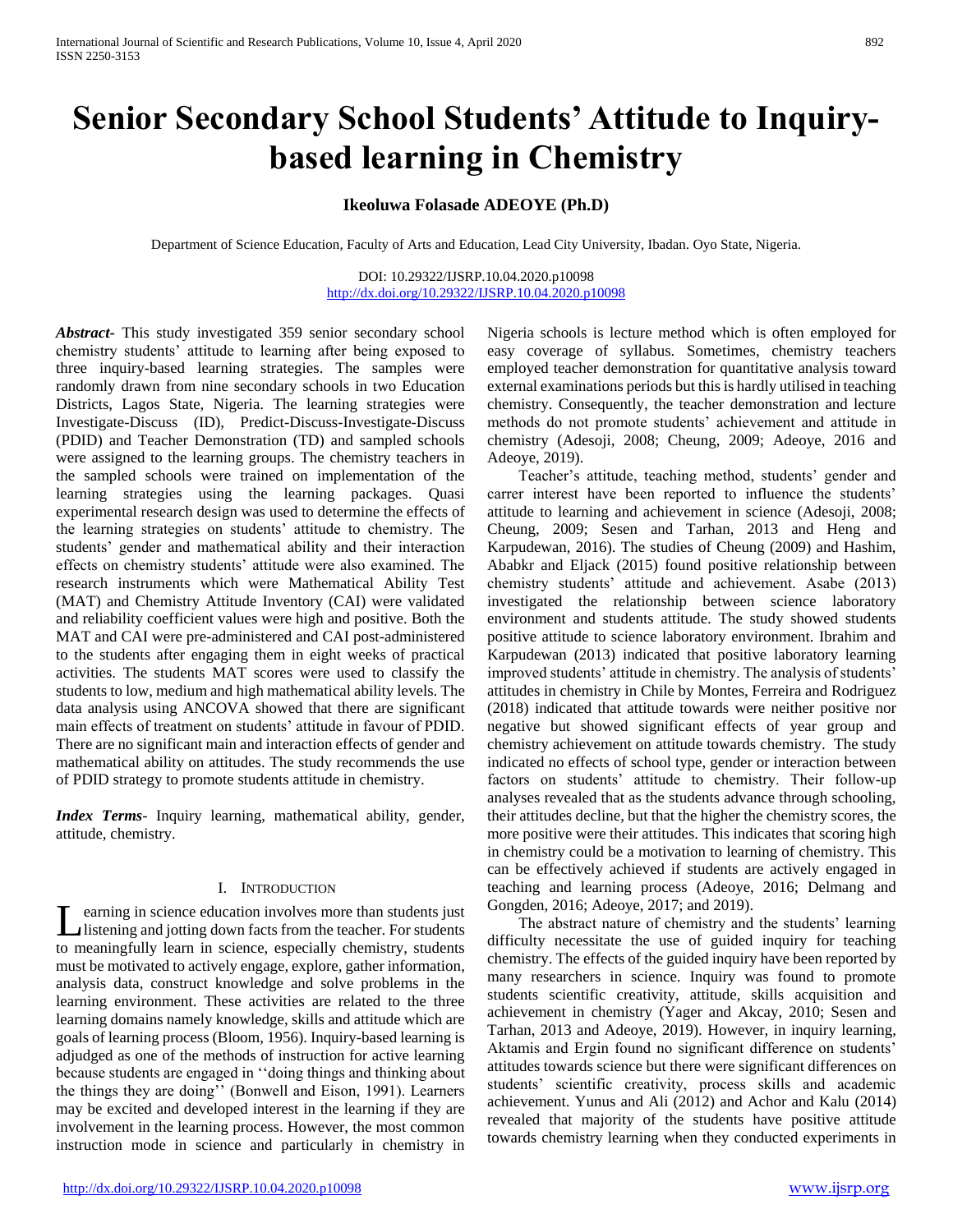# **Senior Secondary School Students' Attitude to Inquirybased learning in Chemistry**

# **Ikeoluwa Folasade ADEOYE (Ph.D)**

Department of Science Education, Faculty of Arts and Education, Lead City University, Ibadan. Oyo State, Nigeria.

DOI: 10.29322/IJSRP.10.04.2020.p10098 <http://dx.doi.org/10.29322/IJSRP.10.04.2020.p10098>

*Abstract***-** This study investigated 359 senior secondary school chemistry students' attitude to learning after being exposed to three inquiry-based learning strategies. The samples were randomly drawn from nine secondary schools in two Education Districts, Lagos State, Nigeria. The learning strategies were Investigate-Discuss (ID), Predict-Discuss-Investigate-Discuss (PDID) and Teacher Demonstration (TD) and sampled schools were assigned to the learning groups. The chemistry teachers in the sampled schools were trained on implementation of the learning strategies using the learning packages. Quasi experimental research design was used to determine the effects of the learning strategies on students' attitude to chemistry. The students' gender and mathematical ability and their interaction effects on chemistry students' attitude were also examined. The research instruments which were Mathematical Ability Test (MAT) and Chemistry Attitude Inventory (CAI) were validated and reliability coefficient values were high and positive. Both the MAT and CAI were pre-administered and CAI post-administered to the students after engaging them in eight weeks of practical activities. The students MAT scores were used to classify the students to low, medium and high mathematical ability levels. The data analysis using ANCOVA showed that there are significant main effects of treatment on students' attitude in favour of PDID. There are no significant main and interaction effects of gender and mathematical ability on attitudes. The study recommends the use of PDID strategy to promote students attitude in chemistry.

*Index Terms*- Inquiry learning, mathematical ability, gender, attitude, chemistry.

#### I. INTRODUCTION

earning in science education involves more than students just listening and jotting down facts from the teacher. For students to meaningfully learn in science, especially chemistry, students must be motivated to actively engage, explore, gather information, analysis data, construct knowledge and solve problems in the learning environment. These activities are related to the three learning domains namely knowledge, skills and attitude which are goals of learning process (Bloom, 1956). Inquiry-based learning is adjudged as one of the methods of instruction for active learning because students are engaged in ''doing things and thinking about the things they are doing'' (Bonwell and Eison, 1991). Learners may be excited and developed interest in the learning if they are involvement in the learning process. However, the most common instruction mode in science and particularly in chemistry in L

Nigeria schools is lecture method which is often employed for easy coverage of syllabus. Sometimes, chemistry teachers employed teacher demonstration for quantitative analysis toward external examinations periods but this is hardly utilised in teaching chemistry. Consequently, the teacher demonstration and lecture methods do not promote students' achievement and attitude in chemistry (Adesoji, 2008; Cheung, 2009; Adeoye, 2016 and Adeoye, 2019).

 Teacher's attitude, teaching method, students' gender and carrer interest have been reported to influence the students' attitude to learning and achievement in science (Adesoji, 2008; Cheung, 2009; Sesen and Tarhan, 2013 and Heng and Karpudewan, 2016). The studies of Cheung (2009) and Hashim, Ababkr and Eljack (2015) found positive relationship between chemistry students' attitude and achievement. Asabe (2013) investigated the relationship between science laboratory environment and students attitude. The study showed students positive attitude to science laboratory environment. Ibrahim and Karpudewan (2013) indicated that positive laboratory learning improved students' attitude in chemistry. The analysis of students' attitudes in chemistry in Chile by Montes, Ferreira and Rodriguez (2018) indicated that attitude towards were neither positive nor negative but showed significant effects of year group and chemistry achievement on attitude towards chemistry. The study indicated no effects of school type, gender or interaction between factors on students' attitude to chemistry. Their follow-up analyses revealed that as the students advance through schooling, their attitudes decline, but that the higher the chemistry scores, the more positive were their attitudes. This indicates that scoring high in chemistry could be a motivation to learning of chemistry. This can be effectively achieved if students are actively engaged in teaching and learning process (Adeoye, 2016; Delmang and Gongden, 2016; Adeoye, 2017; and 2019).

 The abstract nature of chemistry and the students' learning difficulty necessitate the use of guided inquiry for teaching chemistry. The effects of the guided inquiry have been reported by many researchers in science. Inquiry was found to promote students scientific creativity, attitude, skills acquisition and achievement in chemistry (Yager and Akcay, 2010; Sesen and Tarhan, 2013 and Adeoye, 2019). However, in inquiry learning, Aktamis and Ergin found no significant difference on students' attitudes towards science but there were significant differences on students' scientific creativity, process skills and academic achievement. Yunus and Ali (2012) and Achor and Kalu (2014) revealed that majority of the students have positive attitude towards chemistry learning when they conducted experiments in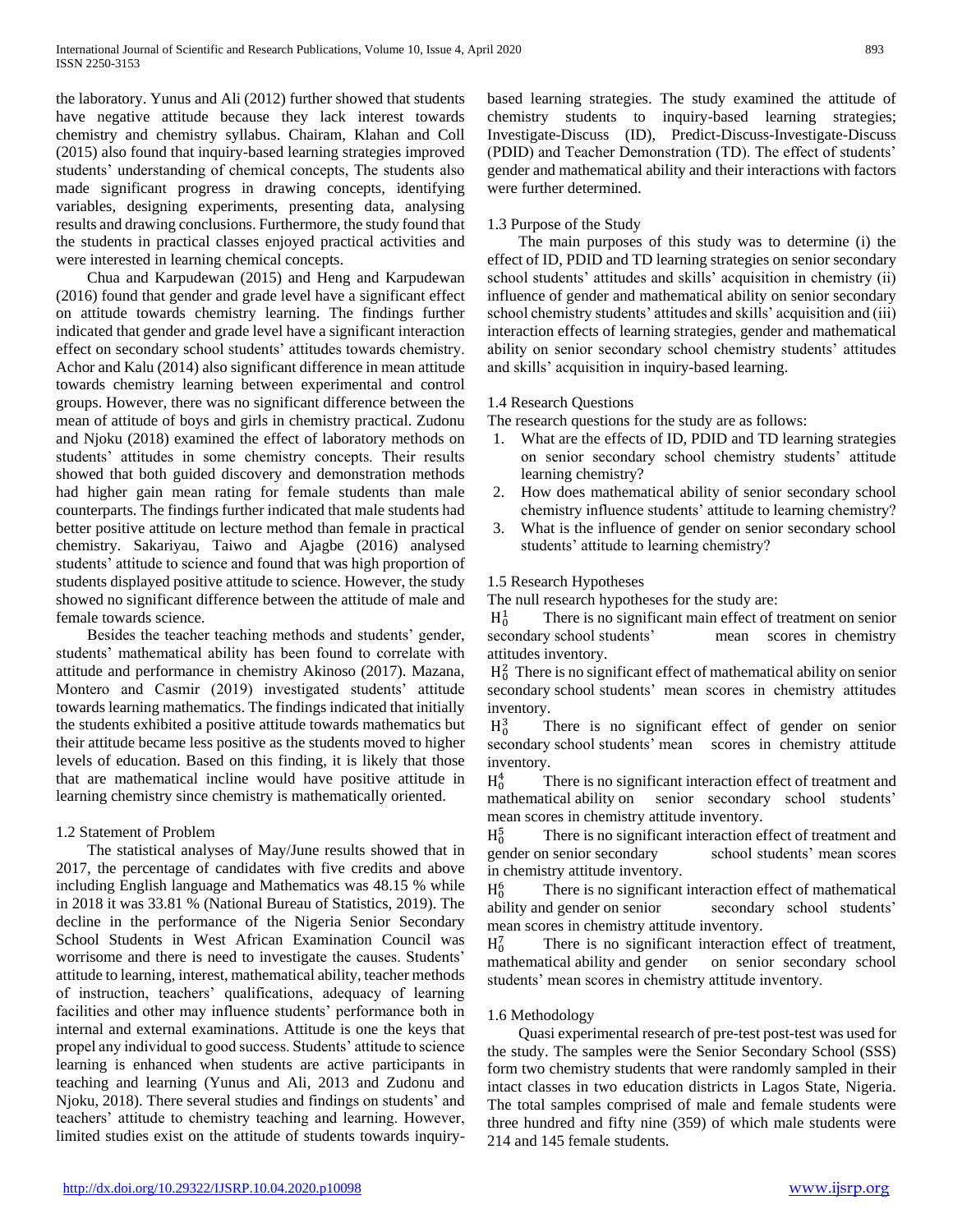the laboratory. Yunus and Ali (2012) further showed that students have negative attitude because they lack interest towards chemistry and chemistry syllabus. Chairam, Klahan and Coll (2015) also found that inquiry-based learning strategies improved students' understanding of chemical concepts, The students also made significant progress in drawing concepts, identifying variables, designing experiments, presenting data, analysing results and drawing conclusions. Furthermore, the study found that the students in practical classes enjoyed practical activities and were interested in learning chemical concepts.

 Chua and Karpudewan (2015) and Heng and Karpudewan (2016) found that gender and grade level have a significant effect on attitude towards chemistry learning. The findings further indicated that gender and grade level have a significant interaction effect on secondary school students' attitudes towards chemistry. Achor and Kalu (2014) also significant difference in mean attitude towards chemistry learning between experimental and control groups. However, there was no significant difference between the mean of attitude of boys and girls in chemistry practical. Zudonu and Njoku (2018) examined the effect of laboratory methods on students' attitudes in some chemistry concepts. Their results showed that both guided discovery and demonstration methods had higher gain mean rating for female students than male counterparts. The findings further indicated that male students had better positive attitude on lecture method than female in practical chemistry. Sakariyau, Taiwo and Ajagbe (2016) analysed students' attitude to science and found that was high proportion of students displayed positive attitude to science. However, the study showed no significant difference between the attitude of male and female towards science.

 Besides the teacher teaching methods and students' gender, students' mathematical ability has been found to correlate with attitude and performance in chemistry Akinoso (2017). Mazana, Montero and Casmir (2019) investigated students' attitude towards learning mathematics. The findings indicated that initially the students exhibited a positive attitude towards mathematics but their attitude became less positive as the students moved to higher levels of education. Based on this finding, it is likely that those that are mathematical incline would have positive attitude in learning chemistry since chemistry is mathematically oriented.

## 1.2 Statement of Problem

 The statistical analyses of May/June results showed that in 2017, the percentage of candidates with five credits and above including English language and Mathematics was 48.15 % while in 2018 it was 33.81 % (National Bureau of Statistics, 2019). The decline in the performance of the Nigeria Senior Secondary School Students in West African Examination Council was worrisome and there is need to investigate the causes. Students' attitude to learning, interest, mathematical ability, teacher methods of instruction, teachers' qualifications, adequacy of learning facilities and other may influence students' performance both in internal and external examinations. Attitude is one the keys that propel any individual to good success. Students' attitude to science learning is enhanced when students are active participants in teaching and learning (Yunus and Ali, 2013 and Zudonu and Njoku, 2018). There several studies and findings on students' and teachers' attitude to chemistry teaching and learning. However, limited studies exist on the attitude of students towards inquirybased learning strategies. The study examined the attitude of chemistry students to inquiry-based learning strategies; Investigate-Discuss (ID), Predict-Discuss-Investigate-Discuss (PDID) and Teacher Demonstration (TD). The effect of students' gender and mathematical ability and their interactions with factors were further determined.

## 1.3 Purpose of the Study

 The main purposes of this study was to determine (i) the effect of ID, PDID and TD learning strategies on senior secondary school students' attitudes and skills' acquisition in chemistry (ii) influence of gender and mathematical ability on senior secondary school chemistry students' attitudes and skills' acquisition and (iii) interaction effects of learning strategies, gender and mathematical ability on senior secondary school chemistry students' attitudes and skills' acquisition in inquiry-based learning.

## 1.4 Research Questions

The research questions for the study are as follows:

- 1. What are the effects of ID, PDID and TD learning strategies on senior secondary school chemistry students' attitude learning chemistry?
- 2. How does mathematical ability of senior secondary school chemistry influence students' attitude to learning chemistry?
- 3. What is the influence of gender on senior secondary school students' attitude to learning chemistry?

## 1.5 Research Hypotheses

The null research hypotheses for the study are:

 $H_0^1$  There is no signifive<br>secondary school students' There is no significant main effect of treatment on senior mean scores in chemistry attitudes inventory.

 $H_0^2$  There is no significant effect of mathematical ability on senior secondary school students' mean scores in chemistry attitudes inventory.

 $H_0^3$ There is no significant effect of gender on senior secondary school students' mean scores in chemistry attitude inventory.

 $H_0^4$ There is no significant interaction effect of treatment and mathematical ability on senior secondary school students' mean scores in chemistry attitude inventory.

 $H_0^5$  There is no signific<br>gender on senior secondary There is no significant interaction effect of treatment and school students' mean scores in chemistry attitude inventory.

 $H_0^6$  There is no significantly and gender on senior There is no significant interaction effect of mathematical secondary school students' mean scores in chemistry attitude inventory.

 $H_0^7$ There is no significant interaction effect of treatment, mathematical ability and gender on senior secondary school students' mean scores in chemistry attitude inventory.

## 1.6 Methodology

 Quasi experimental research of pre-test post-test was used for the study. The samples were the Senior Secondary School (SSS) form two chemistry students that were randomly sampled in their intact classes in two education districts in Lagos State, Nigeria. The total samples comprised of male and female students were three hundred and fifty nine (359) of which male students were 214 and 145 female students.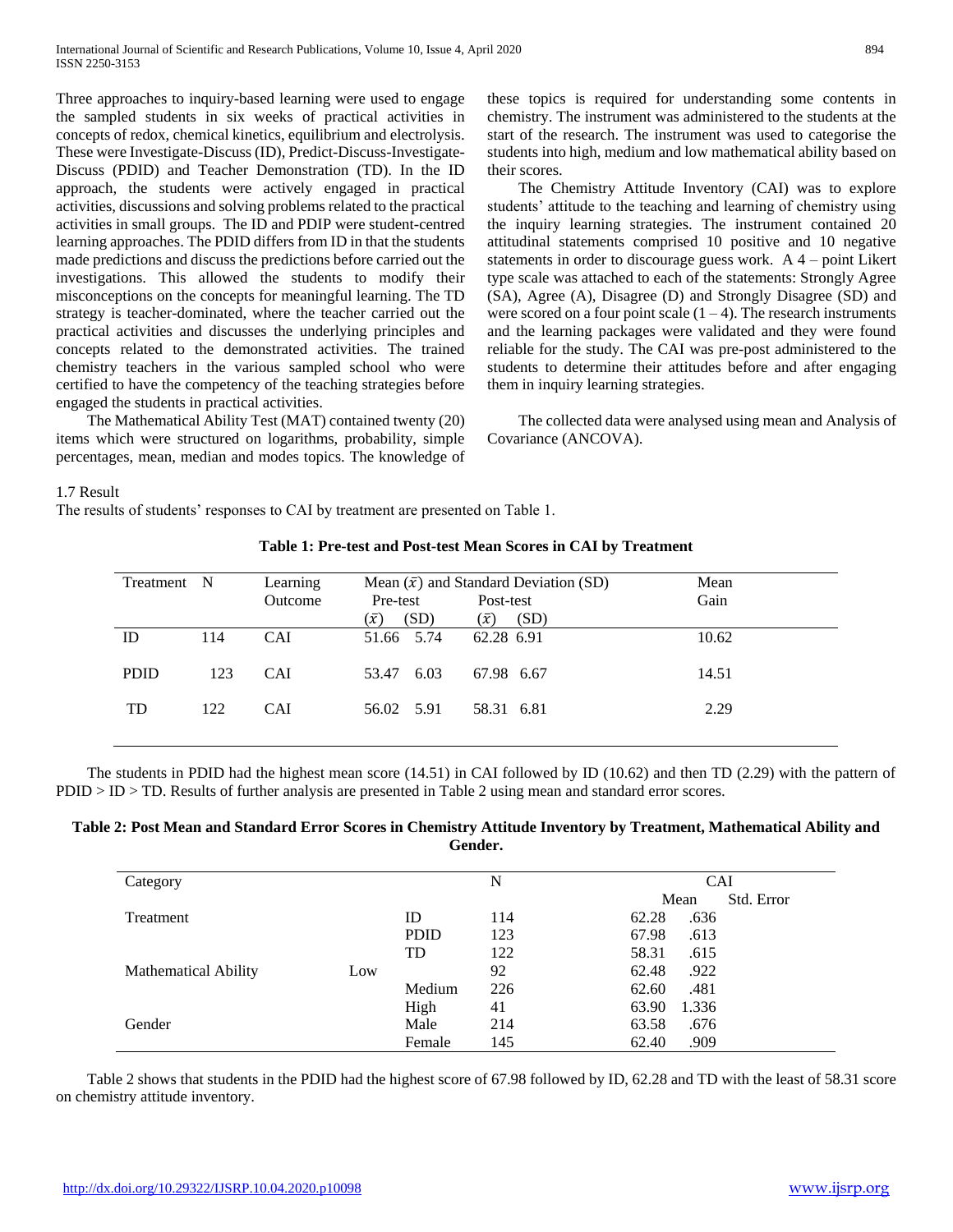Three approaches to inquiry-based learning were used to engage the sampled students in six weeks of practical activities in concepts of redox, chemical kinetics, equilibrium and electrolysis. These were Investigate-Discuss (ID), Predict-Discuss-Investigate-Discuss (PDID) and Teacher Demonstration (TD). In the ID approach, the students were actively engaged in practical activities, discussions and solving problems related to the practical activities in small groups. The ID and PDIP were student-centred learning approaches. The PDID differs from ID in that the students made predictions and discuss the predictions before carried out the investigations. This allowed the students to modify their misconceptions on the concepts for meaningful learning. The TD strategy is teacher-dominated, where the teacher carried out the practical activities and discusses the underlying principles and concepts related to the demonstrated activities. The trained chemistry teachers in the various sampled school who were certified to have the competency of the teaching strategies before engaged the students in practical activities.

 The Mathematical Ability Test (MAT) contained twenty (20) items which were structured on logarithms, probability, simple percentages, mean, median and modes topics. The knowledge of these topics is required for understanding some contents in chemistry. The instrument was administered to the students at the start of the research. The instrument was used to categorise the students into high, medium and low mathematical ability based on their scores.

 The Chemistry Attitude Inventory (CAI) was to explore students' attitude to the teaching and learning of chemistry using the inquiry learning strategies. The instrument contained 20 attitudinal statements comprised 10 positive and 10 negative statements in order to discourage guess work. A 4 – point Likert type scale was attached to each of the statements: Strongly Agree (SA), Agree (A), Disagree (D) and Strongly Disagree (SD) and were scored on a four point scale  $(1 – 4)$ . The research instruments and the learning packages were validated and they were found reliable for the study. The CAI was pre-post administered to the students to determine their attitudes before and after engaging them in inquiry learning strategies.

 The collected data were analysed using mean and Analysis of Covariance (ANCOVA).

#### 1.7 Result

The results of students' responses to CAI by treatment are presented on Table 1.

| Treatment N |     | Learning   |                     | Mean $(\bar{x})$ and Standard Deviation (SD) | Mean  |
|-------------|-----|------------|---------------------|----------------------------------------------|-------|
|             |     | Outcome    | Pre-test            | Post-test                                    | Gain  |
|             |     |            | (SD)<br>$(\bar{x})$ | (SD)<br>$(\bar{x})$                          |       |
| ID          | 114 | <b>CAI</b> | 51.66 5.74          | 62.28 6.91                                   | 10.62 |
| <b>PDID</b> | 123 | <b>CAI</b> | 53.47 6.03          | 67.98 6.67                                   | 14.51 |
| <b>TD</b>   | 122 | <b>CAI</b> | 56.02 5.91          | 58.31 6.81                                   | 2.29  |

**Table 1: Pre-test and Post-test Mean Scores in CAI by Treatment**

 The students in PDID had the highest mean score (14.51) in CAI followed by ID (10.62) and then TD (2.29) with the pattern of PDID > ID > TD. Results of further analysis are presented in Table 2 using mean and standard error scores.

**Table 2: Post Mean and Standard Error Scores in Chemistry Attitude Inventory by Treatment, Mathematical Ability and Gender.**

| Category                           |             | N   | <b>CAI</b>         |
|------------------------------------|-------------|-----|--------------------|
|                                    |             |     | Std. Error<br>Mean |
| Treatment                          | ID          | 114 | .636<br>62.28      |
|                                    | <b>PDID</b> | 123 | 67.98<br>.613      |
|                                    | <b>TD</b>   | 122 | 58.31<br>.615      |
| <b>Mathematical Ability</b><br>Low |             | 92  | 62.48<br>.922      |
|                                    | Medium      | 226 | 62.60<br>.481      |
|                                    | High        | 41  | 63.90<br>1.336     |
| Gender                             | Male        | 214 | 63.58<br>.676      |
|                                    | Female      | 145 | 62.40<br>.909      |

 Table 2 shows that students in the PDID had the highest score of 67.98 followed by ID, 62.28 and TD with the least of 58.31 score on chemistry attitude inventory.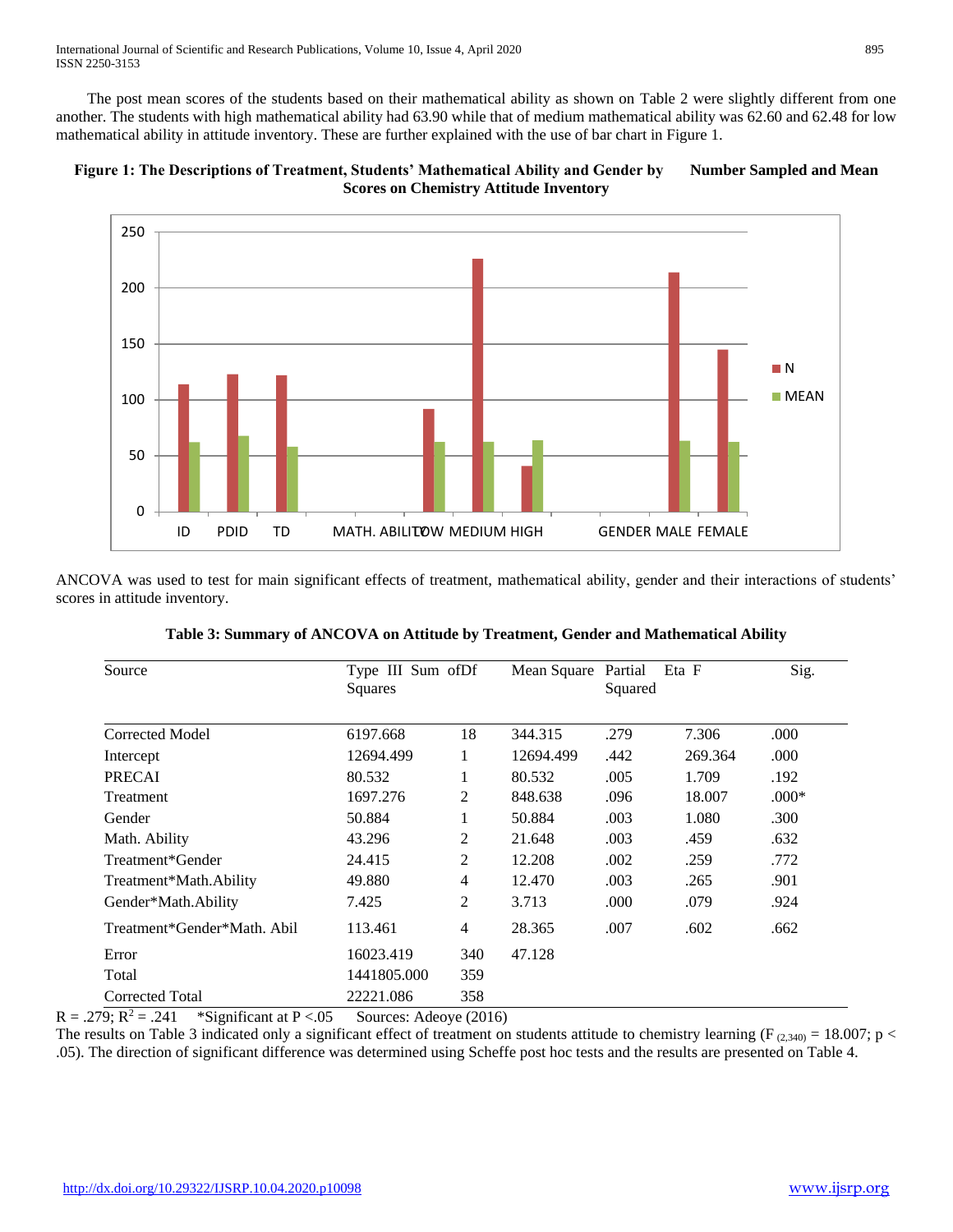International Journal of Scientific and Research Publications, Volume 10, Issue 4, April 2020 895 ISSN 2250-3153

 The post mean scores of the students based on their mathematical ability as shown on Table 2 were slightly different from one another. The students with high mathematical ability had 63.90 while that of medium mathematical ability was 62.60 and 62.48 for low mathematical ability in attitude inventory. These are further explained with the use of bar chart in Figure 1.





ANCOVA was used to test for main significant effects of treatment, mathematical ability, gender and their interactions of students' scores in attitude inventory.

| Source                      | Type III Sum of Df<br>Squares |                | Mean Square | Partial<br>Squared | Eta F   | Sig.    |
|-----------------------------|-------------------------------|----------------|-------------|--------------------|---------|---------|
|                             |                               |                |             |                    |         |         |
| Corrected Model             | 6197.668                      | 18             | 344.315     | .279               | 7.306   | .000    |
| Intercept                   | 12694.499                     | 1              | 12694.499   | .442               | 269.364 | .000    |
| <b>PRECAI</b>               | 80.532                        | 1              | 80.532      | .005               | 1.709   | .192    |
| Treatment                   | 1697.276                      | 2              | 848.638     | .096               | 18.007  | $.000*$ |
| Gender                      | 50.884                        | 1              | 50.884      | .003               | 1.080   | .300    |
| Math. Ability               | 43.296                        | $\overline{2}$ | 21.648      | .003               | .459    | .632    |
| Treatment*Gender            | 24.415                        | $\overline{2}$ | 12.208      | .002               | .259    | .772    |
| Treatment*Math.Ability      | 49.880                        | 4              | 12.470      | .003               | .265    | .901    |
| Gender*Math.Ability         | 7.425                         | $\overline{c}$ | 3.713       | .000               | .079    | .924    |
| Treatment*Gender*Math, Abil | 113.461                       | $\overline{4}$ | 28.365      | .007               | .602    | .662    |
| Error                       | 16023.419                     | 340            | 47.128      |                    |         |         |
| Total                       | 1441805.000                   | 359            |             |                    |         |         |
| Corrected Total             | 22221.086                     | 358            |             |                    |         |         |

 $R = .279$ ;  $R^2 = .241$  \*Significant at P <.05 Sources: Adeoye (2016)

The results on Table 3 indicated only a significant effect of treatment on students attitude to chemistry learning ( $F_{(2,340)} = 18.007$ ; p < .05). The direction of significant difference was determined using Scheffe post hoc tests and the results are presented on Table 4.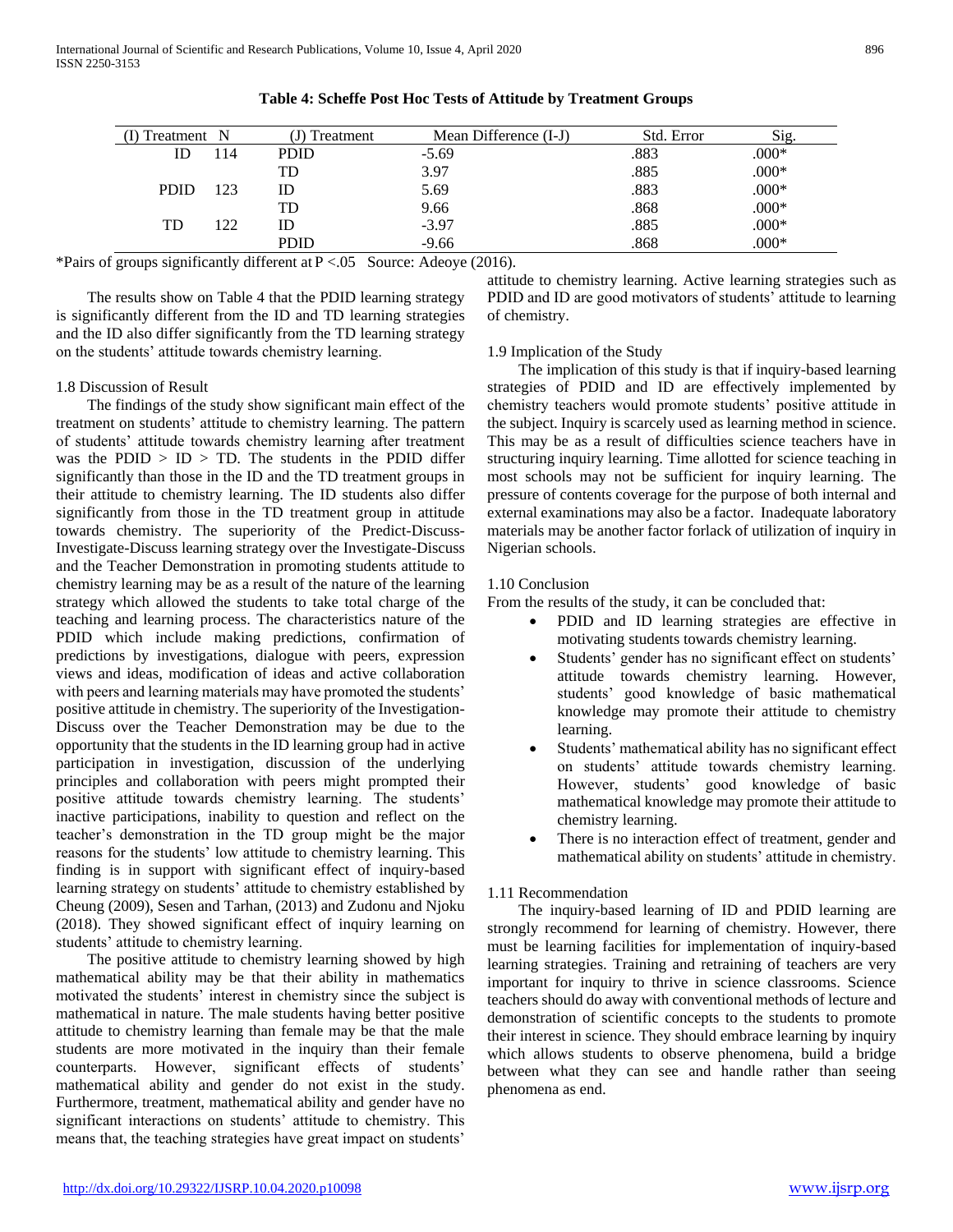| Treatment N |      | J) Treatment | Mean Difference (I-J) | Std. Error | Sig.    |
|-------------|------|--------------|-----------------------|------------|---------|
|             | 14   | <b>PDID</b>  | $-5.69$               | .883       | $.000*$ |
|             |      | TD           | 3.97                  | .885       | $.000*$ |
| <b>PDID</b> | 123  | ID           | 5.69                  | .883       | $.000*$ |
|             |      | TD           | 9.66                  | .868       | $.000*$ |
| TD          | רר ו | ID           | $-3.97$               | .885       | $.000*$ |
|             |      | <b>PDID</b>  | $-9.66$               | .868       | $.000*$ |

## **Table 4: Scheffe Post Hoc Tests of Attitude by Treatment Groups**

\*Pairs of groups significantly different at P <.05 Source: Adeoye (2016).

 The results show on Table 4 that the PDID learning strategy is significantly different from the ID and TD learning strategies and the ID also differ significantly from the TD learning strategy on the students' attitude towards chemistry learning.

## 1.8 Discussion of Result

 The findings of the study show significant main effect of the treatment on students' attitude to chemistry learning. The pattern of students' attitude towards chemistry learning after treatment was the PDID  $>$  ID  $>$  TD. The students in the PDID differ significantly than those in the ID and the TD treatment groups in their attitude to chemistry learning. The ID students also differ significantly from those in the TD treatment group in attitude towards chemistry. The superiority of the Predict-Discuss-Investigate-Discuss learning strategy over the Investigate-Discuss and the Teacher Demonstration in promoting students attitude to chemistry learning may be as a result of the nature of the learning strategy which allowed the students to take total charge of the teaching and learning process. The characteristics nature of the PDID which include making predictions, confirmation of predictions by investigations, dialogue with peers, expression views and ideas, modification of ideas and active collaboration with peers and learning materials may have promoted the students' positive attitude in chemistry. The superiority of the Investigation-Discuss over the Teacher Demonstration may be due to the opportunity that the students in the ID learning group had in active participation in investigation, discussion of the underlying principles and collaboration with peers might prompted their positive attitude towards chemistry learning. The students' inactive participations, inability to question and reflect on the teacher's demonstration in the TD group might be the major reasons for the students' low attitude to chemistry learning. This finding is in support with significant effect of inquiry-based learning strategy on students' attitude to chemistry established by Cheung (2009), Sesen and Tarhan, (2013) and Zudonu and Njoku (2018). They showed significant effect of inquiry learning on students' attitude to chemistry learning.

 The positive attitude to chemistry learning showed by high mathematical ability may be that their ability in mathematics motivated the students' interest in chemistry since the subject is mathematical in nature. The male students having better positive attitude to chemistry learning than female may be that the male students are more motivated in the inquiry than their female counterparts. However, significant effects of students' mathematical ability and gender do not exist in the study. Furthermore, treatment, mathematical ability and gender have no significant interactions on students' attitude to chemistry. This means that, the teaching strategies have great impact on students'

attitude to chemistry learning. Active learning strategies such as PDID and ID are good motivators of students' attitude to learning of chemistry.

#### 1.9 Implication of the Study

 The implication of this study is that if inquiry-based learning strategies of PDID and ID are effectively implemented by chemistry teachers would promote students' positive attitude in the subject. Inquiry is scarcely used as learning method in science. This may be as a result of difficulties science teachers have in structuring inquiry learning. Time allotted for science teaching in most schools may not be sufficient for inquiry learning. The pressure of contents coverage for the purpose of both internal and external examinations may also be a factor. Inadequate laboratory materials may be another factor forlack of utilization of inquiry in Nigerian schools.

## 1.10 Conclusion

From the results of the study, it can be concluded that:

- PDID and ID learning strategies are effective in motivating students towards chemistry learning.
- Students' gender has no significant effect on students' attitude towards chemistry learning. However, students' good knowledge of basic mathematical knowledge may promote their attitude to chemistry learning.
- Students' mathematical ability has no significant effect on students' attitude towards chemistry learning. However, students' good knowledge of basic mathematical knowledge may promote their attitude to chemistry learning.
- There is no interaction effect of treatment, gender and mathematical ability on students' attitude in chemistry.

#### 1.11 Recommendation

 The inquiry-based learning of ID and PDID learning are strongly recommend for learning of chemistry. However, there must be learning facilities for implementation of inquiry-based learning strategies. Training and retraining of teachers are very important for inquiry to thrive in science classrooms. Science teachers should do away with conventional methods of lecture and demonstration of scientific concepts to the students to promote their interest in science. They should embrace learning by inquiry which allows students to observe phenomena, build a bridge between what they can see and handle rather than seeing phenomena as end.